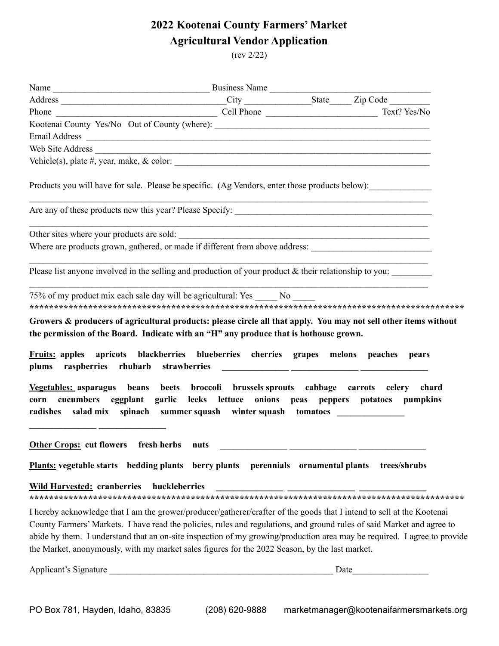## **2022 Kootenai County Farmers' Market Agricultural Vendor Application**

(rev 2/22)

| Kootenai County Yes/No Out of County (where): ___________________________________                                                                                                                                          |  |                                                                                                                      |
|----------------------------------------------------------------------------------------------------------------------------------------------------------------------------------------------------------------------------|--|----------------------------------------------------------------------------------------------------------------------|
|                                                                                                                                                                                                                            |  |                                                                                                                      |
| Web Site Address                                                                                                                                                                                                           |  |                                                                                                                      |
|                                                                                                                                                                                                                            |  |                                                                                                                      |
| Products you will have for sale. Please be specific. (Ag Vendors, enter those products below):                                                                                                                             |  |                                                                                                                      |
|                                                                                                                                                                                                                            |  |                                                                                                                      |
| Other sites where your products are sold:                                                                                                                                                                                  |  | <u> 1999 - Jan James James James James James James James James James James James James James James James James J</u> |
|                                                                                                                                                                                                                            |  |                                                                                                                      |
|                                                                                                                                                                                                                            |  |                                                                                                                      |
| Please list anyone involved in the selling and production of your product & their relationship to you:                                                                                                                     |  |                                                                                                                      |
|                                                                                                                                                                                                                            |  |                                                                                                                      |
| 75% of my product mix each sale day will be agricultural: Yes No                                                                                                                                                           |  |                                                                                                                      |
|                                                                                                                                                                                                                            |  |                                                                                                                      |
| Growers & producers of agricultural products: please circle all that apply. You may not sell other items without                                                                                                           |  |                                                                                                                      |
| the permission of the Board. Indicate with an "H" any produce that is hothouse grown.                                                                                                                                      |  |                                                                                                                      |
| <b>Fruits:</b> apples apricots blackberries blueberries cherries grapes melons peaches                                                                                                                                     |  | pears                                                                                                                |
| Vegetables: asparagus beans beets broccoli brussels sprouts cabbage carrots celery chard                                                                                                                                   |  |                                                                                                                      |
| corn cucumbers eggplant garlic leeks lettuce onions peas peppers potatoes pumpkins                                                                                                                                         |  |                                                                                                                      |
| radishes salad mix spinach summer squash winter squash tomatoes ________________                                                                                                                                           |  |                                                                                                                      |
|                                                                                                                                                                                                                            |  |                                                                                                                      |
|                                                                                                                                                                                                                            |  |                                                                                                                      |
| Other Crops: cut flowers fresh herbs nuts                                                                                                                                                                                  |  |                                                                                                                      |
| Plants: vegetable starts bedding plants berry plants perennials ornamental plants trees/shrubs                                                                                                                             |  |                                                                                                                      |
| <b>Wild Harvested: cranberries</b><br>huckleberries                                                                                                                                                                        |  |                                                                                                                      |
|                                                                                                                                                                                                                            |  |                                                                                                                      |
| I hereby acknowledge that I am the grower/producer/gatherer/crafter of the goods that I intend to sell at the Kootenai                                                                                                     |  |                                                                                                                      |
| County Farmers' Markets. I have read the policies, rules and regulations, and ground rules of said Market and agree to                                                                                                     |  |                                                                                                                      |
| abide by them. I understand that an on-site inspection of my growing/production area may be required. I agree to provide<br>the Market, anonymously, with my market sales figures for the 2022 Season, by the last market. |  |                                                                                                                      |
|                                                                                                                                                                                                                            |  |                                                                                                                      |
| Applicant's Signature                                                                                                                                                                                                      |  |                                                                                                                      |